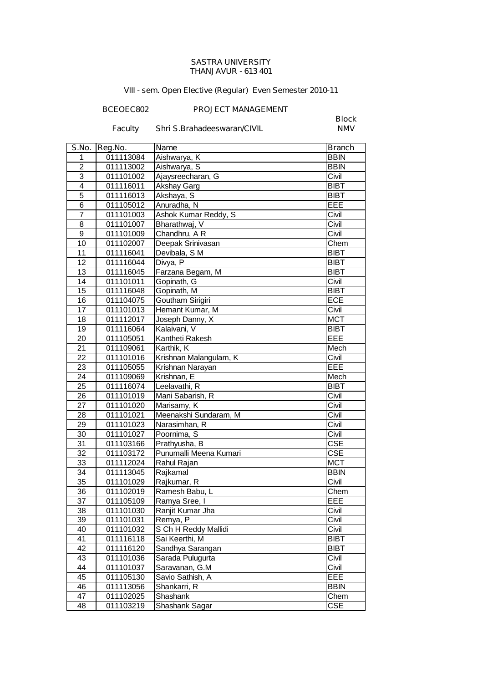## **SASTRA UNIVERSITY THANJAVUR - 613 401**

## **VIII - sem. Open Elective (Regular) Even Semester 2010-11**

## **BCEOEC802 PROJECT MANAGEMENT**

**Faculty** Shri S.Brahadeeswaran/CIVIL

**Block**

| S.No.           | Reg.No.                | Name                               | <b>Branch</b>              |
|-----------------|------------------------|------------------------------------|----------------------------|
| 1               | 011113084              | Aishwarya, K                       | <b>BBIN</b>                |
| $\overline{2}$  | 011113002              | Aishwarya, S                       | <b>BBIN</b>                |
| $\overline{3}$  | 011101002              | Ajaysreecharan, G                  | Civil                      |
| $\overline{4}$  | 011116011              | Akshay Garg                        | <b>BIBT</b>                |
| $\overline{5}$  | 011116013              | Akshaya, S                         | <b>BIBT</b>                |
| $\overline{6}$  | 011105012              | Anuradha, N                        | EEE                        |
| $\overline{7}$  | 011101003              | Ashok Kumar Reddy, S               | Civil                      |
| 8               | 011101007              | Bharathwaj, V                      | Civil                      |
| 9               | 011101009              | Chandhru, A R                      | Civil                      |
| 10              | 011102007              | Deepak Srinivasan                  | Chem                       |
| 11              | 011116041              | Devibala, S M                      | <b>BIBT</b>                |
| 12              | 011116044              | Divya, $\overline{P}$              | <b>BIBT</b>                |
| 13              | 011116045              | Farzana Begam, M                   | <b>BIBT</b>                |
| 14              | 011101011              | Gopinath, G                        | Civil                      |
| 15              | 011116048              | Gopinath, M                        | <b>BIBT</b>                |
| 16              | 011104075              | Goutham Sirigiri                   | <b>ECE</b>                 |
| 17              | 011101013              | Hemant Kumar, M                    | Civil                      |
| 18              | 011112017              | Joseph Danny, X                    | <b>MCT</b>                 |
| 19              | 011116064              | Kalaivani, V                       | <b>BIBT</b>                |
| 20              | 011105051              | Kantheti Rakesh                    | EEE                        |
| 21              | 011109061              | Karthik, K                         | Mech                       |
| 22              | 011101016              | Krishnan Malangulam, K             | Civil                      |
| 23              | 011105055              | Krishnan Narayan                   | EEE                        |
| 24              | 011109069              | Krishnan, E                        | Mech                       |
| 25              | 011116074              | Leelavathi, R                      | BIBT                       |
| 26              | 011101019              | Mani Sabarish, R                   | Civil                      |
| 27              | 011101020              | Marisamy, K                        | Civil                      |
| 28              | 011101021              | Meenakshi Sundaram, M              | Civil                      |
| 29              | 011101023              | Narasimhan, R                      | Civil                      |
| 30              | 011101027              | Poornima, S                        | Civil                      |
| $\overline{31}$ | 011103166              | Prathyusha, B                      | $\overline{\text{CSE}}$    |
| 32              | 011103172              | Punumalli Meena Kumari             | <b>CSE</b>                 |
| 33              | 011112024              | Rahul Rajan                        | <b>MCT</b>                 |
| $\overline{3}4$ | 011113045              | Rajkamal                           | <b>BBIN</b>                |
| 35              | 011101029              | Rajkumar, R                        | Civil                      |
| 36              | 011102019              | Ramesh Babu, L                     | Chem                       |
| $\overline{37}$ | 011105109              | Ramya Sree, I                      | EEE                        |
| 38              | 011101030              | Ranjit Kumar Jha                   | Civil                      |
| 39              | 011101031              | Remya, P                           | Civil                      |
| 40              | 011101032              | S Ch H Reddy Mallidi               | Civil                      |
| 41<br>42        | 011116118<br>011116120 | Sai Keerthi, M<br>Sandhya Sarangan | <b>BIBT</b><br><b>BIBT</b> |
|                 |                        |                                    |                            |
| 43<br>44        | 011101036<br>011101037 | Sarada Pulugurta<br>Saravanan, G.M | Civil<br>Civil             |
| 45              | 011105130              | Savio Sathish, A                   | EEE                        |
| 46              | 011113056              | Shankarri, R                       | <b>BBIN</b>                |
| 47              | 011102025              | Shashank                           | Chem                       |
| 48              | 011103219              | Shashank Sagar                     | <b>CSE</b>                 |
|                 |                        |                                    |                            |